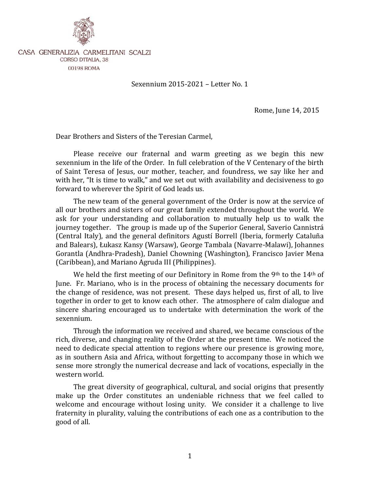

CASA GENERALIZIA CARMELITANI SCALZI **CORSO D'ITALIA, 38** 00198 ROMA

Sexennium 2015-2021 – Letter No. 1

Rome, June 14, 2015

Dear Brothers and Sisters of the Teresian Carmel,

Please receive our fraternal and warm greeting as we begin this new sexennium in the life of the Order. In full celebration of the V Centenary of the birth of Saint Teresa of Jesus, our mother, teacher, and foundress, we say like her and with her, "It is time to walk," and we set out with availability and decisiveness to go forward to wherever the Spirit of God leads us.

The new team of the general government of the Order is now at the service of all our brothers and sisters of our great family extended throughout the world. We ask for your understanding and collaboration to mutually help us to walk the journey together. The group is made up of the Superior General, Saverio Cannistrá (Central Italy), and the general definitors Agustí Borrell (Iberia, formerly Cataluña and Balears), Łukasz Kansy (Warsaw), George Tambala (Navarre-Malawi), Johannes Gorantla (Andhra-Pradesh), Daniel Chowning (Washington), Francisco Javier Mena (Caribbean), and Mariano Agruda III (Philippines).

We held the first meeting of our Definitory in Rome from the 9<sup>th</sup> to the 14<sup>th</sup> of June. Fr. Mariano, who is in the process of obtaining the necessary documents for the change of residence, was not present. These days helped us, first of all, to live together in order to get to know each other. The atmosphere of calm dialogue and sincere sharing encouraged us to undertake with determination the work of the sexennium.

Through the information we received and shared, we became conscious of the rich, diverse, and changing reality of the Order at the present time. We noticed the need to dedicate special attention to regions where our presence is growing more, as in southern Asia and Africa, without forgetting to accompany those in which we sense more strongly the numerical decrease and lack of vocations, especially in the western world.

The great diversity of geographical, cultural, and social origins that presently make up the Order constitutes an undeniable richness that we feel called to welcome and encourage without losing unity. We consider it a challenge to live fraternity in plurality, valuing the contributions of each one as a contribution to the good of all.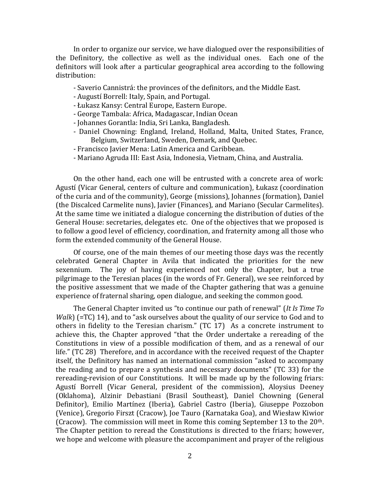In order to organize our service, we have dialogued over the responsibilities of the Definitory, the collective as well as the individual ones. Each one of the definitors will look after a particular geographical area according to the following distribution:

- Saverio Cannistrá: the provinces of the definitors, and the Middle East.
- Augustí Borrell: Italy, Spain, and Portugal.
- Łukasz Kansy: Central Europe, Eastern Europe.
- George Tambala: Africa, Madagascar, Indian Ocean
- Johannes Gorantla: India, Sri Lanka, Bangladesh.
- Daniel Chowning: England, Ireland, Holland, Malta, United States, France, Belgium, Switzerland, Sweden, Demark, and Quebec.
- Francisco Javier Mena: Latin America and Caribbean.
- Mariano Agruda III: East Asia, Indonesia, Vietnam, China, and Australia.

On the other hand, each one will be entrusted with a concrete area of work: Agustí (Vicar General, centers of culture and communication), Łukasz (coordination of the curia and of the community), George (missions), Johannes (formation), Daniel (the Discalced Carmelite nuns), Javier (Finances), and Mariano (Secular Carmelites). At the same time we initiated a dialogue concerning the distribution of duties of the General House: secretaries, delegates etc. One of the objectives that we proposed is to follow a good level of efficiency, coordination, and fraternity among all those who form the extended community of the General House.

Of course, one of the main themes of our meeting those days was the recently celebrated General Chapter in Avila that indicated the priorities for the new sexennium. The joy of having experienced not only the Chapter, but a true pilgrimage to the Teresian places (in the words of Fr. General), we see reinforced by the positive assessment that we made of the Chapter gathering that was a genuine experience of fraternal sharing, open dialogue, and seeking the common good.

The General Chapter invited us "to continue our path of renewal" (*It Is Time To Walk*) (=TC) 14), and to "ask ourselves about the quality of our service to God and to others in fidelity to the Teresian charism." (TC 17) As a concrete instrument to achieve this, the Chapter approved "that the Order undertake a rereading of the Constitutions in view of a possible modification of them, and as a renewal of our life." (TC 28) Therefore, and in accordance with the received request of the Chapter itself, the Definitory has named an international commission "asked to accompany the reading and to prepare a synthesis and necessary documents" (TC 33) for the rereading-revision of our Constitutions. It will be made up by the following friars: Agustí Borrell (Vicar General, president of the commission), Aloysius Deeney (Oklahoma), Alzinir Debastiani (Brasil Southeast), Daniel Chowning (General Definitor), Emilio Martínez (Iberia), Gabriel Castro (Iberia), Giuseppe Pozzobon (Venice), Gregorio Firszt (Cracow), Joe Tauro (Karnataka Goa), and Wiesław Kiwior (Cracow). The commission will meet in Rome this coming September 13 to the  $20<sup>th</sup>$ . The Chapter petition to reread the Constitutions is directed to the friars; however, we hope and welcome with pleasure the accompaniment and prayer of the religious